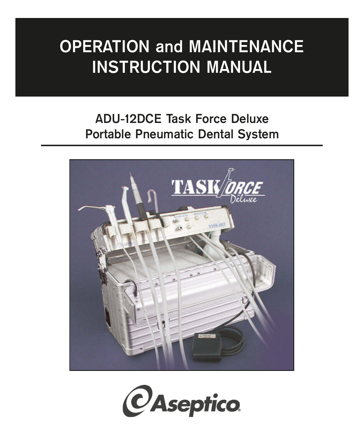# **OPERATION and MAINTENANCE INSTRUCTION MANUAL**

# **ADU-12DCE Task Force Deluxe Portable Pneumatic Dental System**



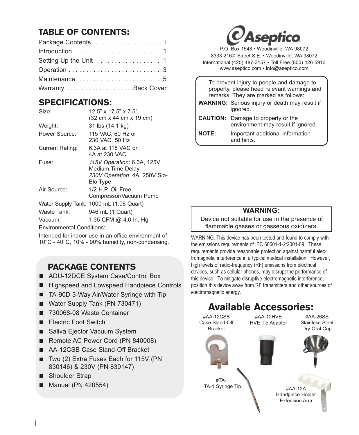# TABLE OF CONTENTS:

| Package Contents      |
|-----------------------|
|                       |
| Setting Up the Unit 1 |
|                       |
| Maintenance 5         |
| Warranty Back Cover   |

# SPECIFICATIONS:

| Size:           | $12.5" \times 17.5" \times 7.5"$                                                                    |
|-----------------|-----------------------------------------------------------------------------------------------------|
|                 | (32 cm x 44 cm x 19 cm)                                                                             |
| Weight:         | 31 lbs (14.1 kg)                                                                                    |
| Power Source:   | 115 VAC, 60 Hz or<br>230 VAC, 50 Hz                                                                 |
| Current Rating: | 6.3A at 115 VAC or<br>4A at 230 VAC                                                                 |
| Fuse:           | 115V Operation: 6.3A, 125V<br>Medium Time Delay<br>230V Operation: 4A, 250V Slo-<br><b>Blo Type</b> |
| Air Source:     | $1/2$ H.P. Oil-Free<br>Compressor/Vacuum Pump                                                       |
|                 | Water Supply Tank: 1000 mL (1.06 Quart)                                                             |
| Waste Tank:     | 946 mL (1 Quart)                                                                                    |
| Vacuum:         | 1.35 CFM @ 4.0 In. Hg.                                                                              |

Environmental Conditions:

Intended for indoor use in an office environment of 10°C - 40°C, 10% - 90% humidity, non-condensing.

# PACKAGE CONTENTS

- ADU-12DCE System Case/Control Box
- Highspeed and Lowspeed Handpiece Controls
- TA-90D 3-Way Air/Water Syringe with Tip
- Water Supply Tank (PN 730471)
- 730068-08 Waste Container
- **Electric Foot Switch**
- Saliva Ejector Vacuum System
- Remote AC Power Cord (PN 840008)
- AA-12CSB Case Stand-Off Bracket
- Two (2) Extra Fuses Each for 115V (PN 830146) & 230V (PN 830147)
- Shoulder Strap
- **Manual (PN 420554)**



P.O. Box 1548 • Woodinville, WA 98072 8333 216<sup>th</sup> Street S.E. • Woodinville, WA 98072 International (425) 487-3157 • Toll Free (800) 426-5913 www.aseptico.com • info@aseptico.com

| To prevent injury to people and damage to<br>property, please heed relevant warnings and<br>remarks. They are marked as follows: |                                                                                 |  |
|----------------------------------------------------------------------------------------------------------------------------------|---------------------------------------------------------------------------------|--|
|                                                                                                                                  | <b>WARNING:</b> Serious injury or death may result if<br>ignored.               |  |
|                                                                                                                                  | <b>CAUTION:</b> Damage to property or the<br>environment may result if ignored. |  |
| <b>NOTE:</b>                                                                                                                     | Important additional information<br>and hints.                                  |  |

### **WARNING:**

Device not suitable for use in the presence of flammable gasses or gasseous oxidizers.

WARNING: This device has been tested and found to comply with the emissions requirements of IEC 60601-1-2:2001-09. These requirements provide reasonable protection against harmful electromagnetic interference in a typical medical installation. However, high levels of radio-frequency (RF) emissions from electrical devices, such as cellular phones, may disrupt the performance of this device. To mitigate disruptive electromagnetic interference, position this device away from RF transmitters and other sources of electromagnetic energy.

### #TA-1 TA-1 Syringe Tip #AA-12A Handpiece Holder Extension Arm #AA-12CSB Case Stand-Off Bracket #AA-12HVE HVE Tip Adapter #AA-26SS Stainless Steel Dry Oral Cup Available Accessories: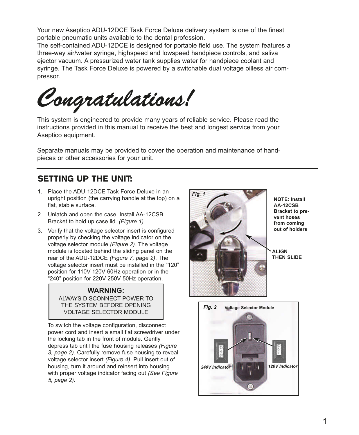Your new Aseptico ADU-12DCE Task Force Deluxe delivery system is one of the finest portable pneumatic units available to the dental profession.

The self-contained ADU-12DCE is designed for portable field use. The system features a three-way air/water syringe, highspeed and lowspeed handpiece controls, and saliva ejector vacuum. A pressurized water tank supplies water for handpiece coolant and syringe. The Task Force Deluxe is powered by a switchable dual voltage oilless air compressor.

*Congratulations!*

This system is engineered to provide many years of reliable service. Please read the instructions provided in this manual to receive the best and longest service from your Aseptico equipment.

Separate manuals may be provided to cover the operation and maintenance of handpieces or other accessories for your unit.

### SETTING UP THE UNIT:

- 1. Place the ADU-12DCE Task Force Deluxe in an upright position (the carrying handle at the top) on a flat, stable surface.
- 2. Unlatch and open the case. Install AA-12CSB Bracket to hold up case lid. *(Figure 1)*
- 3. Verify that the voltage selector insert is configured properly by checking the voltage indicator on the voltage selector module *(Figure 2)*. The voltage module is located behind the sliding panel on the rear of the ADU-12DCE *(Figure 7, page 2)*. The voltage selector insert must be installed in the "120" position for 110V-120V 60Hz operation or in the "240" position for 220V-250V 50Hz operation.

#### **WARNING:** ALWAYS DISCONNECT POWER TO THE SYSTEM BEFORE OPENING VOLTAGE SELECTOR MODULE

To switch the voltage configuration, disconnect power cord and insert a small flat screwdriver under the locking tab in the front of module. Gently depress tab until the fuse housing releases *(Figure 3, page 2)*. Carefully remove fuse housing to reveal voltage selector insert *(Figure 4).* Pull insert out of housing, turn it around and reinsert into housing with proper voltage indicator facing out *(See Figure 5, page 2)*.



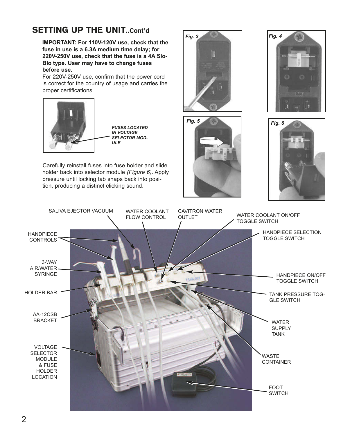# SETTING UP THE UNIT..Cont'd

**IMPORTANT: For 110V-120V use, check that the fuse in use is a 6.3A medium time delay; for 220V-250V use, check that the fuse is a 4A Slo-Blo type. User may have to change fuses before use.**

For 220V-250V use, confirm that the power cord is correct for the country of usage and carries the proper certifications.



Carefully reinstall fuses into fuse holder and slide holder back into selector module *(Figure 6)*. Apply pressure until locking tab snaps back into position, producing a distinct clicking sound.









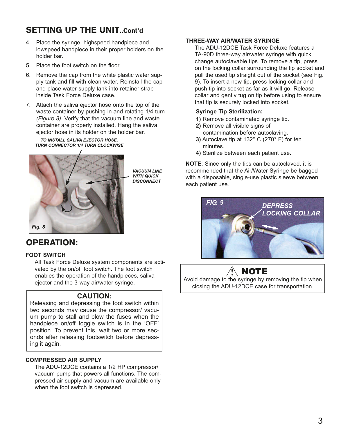# SETTING UP THE UNIT. Cont'd.

- 4. Place the syringe, highspeed handpiece and lowspeed handpiece in their proper holders on the holder bar.
- 5. Place the foot switch on the floor.
- 6. Remove the cap from the white plastic water supply tank and fill with clean water. Reinstall the cap and place water supply tank into retainer strap inside Task Force Deluxe case.
- 7. Attach the saliva ejector hose onto the top of the waste container by pushing in and rotating 1/4 turn *(Figure 8)*. Verify that the vacuum line and waste container are properly installed. Hang the saliva ejector hose in its holder on the holder bar.

*TO INSTALL SALIVA EJECTOR HOSE, TURN CONNECTOR 1/4 TURN CLOCKWISE*



*VACUUM LINE WITH QUICK DISCONNECT*

### OPERATION:

#### **FOOT SWITCH**

All Task Force Deluxe system components are activated by the on/off foot switch. The foot switch enables the operation of the handpieces, saliva ejector and the 3-way air/water syringe.

### **CAUTION:**

Releasing and depressing the foot switch within two seconds may cause the compressor/ vacuum pump to stall and blow the fuses when the handpiece on/off toggle switch is in the 'OFF' position. To prevent this, wait two or more seconds after releasing footswitch before depressing it again.

#### **COMPRESSED AIR SUPPLY**

The ADU-12DCE contains a 1/2 HP compressor/ vacuum pump that powers all functions. The compressed air supply and vacuum are available only when the foot switch is depressed.

#### **THREE-WAY AIR/WATER SYRINGE**

The ADU-12DCE Task Force Deluxe features a TA-90D three-way air/water syringe with quick change autoclavable tips. To remove a tip, press on the locking collar surrounding the tip socket and pull the used tip straight out of the socket (see Fig. 9). To insert a new tip, press locking collar and push tip into socket as far as it will go. Release collar and gently tug on tip before using to ensure that tip is securely locked into socket.

#### **Syringe Tip Sterilization:**

- **1)** Remove contaminated syringe tip.
- **2)** Remove all visible signs of contamination before autoclaving.
- **3)** Autoclave tip at 132° C (270° F) for ten minutes.
- **4)** Sterilize between each patient use.

**NOTE**: Since only the tips can be autoclaved, it is recommended that the Air/Water Syringe be bagged with a disposable, single-use plastic sleeve between each patient use.



# $\wedge$  note

Avoid damage to the syringe by removing the tip when closing the ADU-12DCE case for transportation.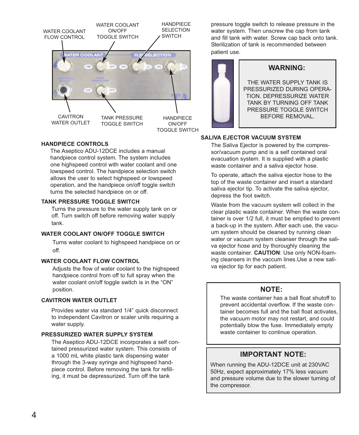

#### **HANDPIECE CONTROLS**

The Aseptico ADU-12DCE includes a manual handpiece control system. The system includes one highspeed control with water coolant and one lowspeed control. The handpiece selection switch allows the user to select highspeed or lowspeed operation, and the handpiece on/off toggle switch turns the selected handpiece on or off.

#### **TANK PRESSURE TOGGLE SWITCH**

Turns the pressure to the water supply tank on or off. Turn switch off before removing water supply tank.

#### **WATER COOLANT ON/OFF TOGGLE SWITCH**

Turns water coolant to highspeed handpiece on or off.

#### **WATER COOLANT FLOW CONTROL**

Adjusts the flow of water coolant to the highspeed handpiece control from off to full spray when the water coolant on/off toggle switch is in the "ON" position.

#### **CAVITRON WATER OUTLET**

Provides water via standard 1/4" quick disconnect to independent Cavitron or scaler units requiring a water supply.

#### **PRESSURIZED WATER SUPPLY SYSTEM**

The Aseptico ADU-12DCE incorporates a self contained pressurized water system. This consists of a 1000 mL white plastic tank dispensing water through the 3-way syringe and highspeed handpiece control. Before removing the tank for refilling, it must be depressurized. Turn off the tank

pressure toggle switch to release pressure in the water system. Then unscrew the cap from tank and fill tank with water. Screw cap back onto tank. Sterilization of tank is recommended between patient use.



#### **SALIVA EJECTOR VACUUM SYSTEM**

The Saliva Eiector is powered by the compressor/vacuum pump and is a self contained oral evacuation system. It is supplied with a plastic waste container and a saliva ejector hose.

To operate, attach the saliva ejector hose to the top of the waste container and insert a standard saliva ejector tip. To activate the saliva ejector, depress the foot switch.

Waste from the vacuum system will collect in the clear plastic waste container. When the waste container is over 1/2 full, it must be emptied to prevent a back-up in the system. After each use, the vacuum system should be cleaned by running clean water or vacuum system cleanser through the saliva ejector hose and by thoroughly cleaning the waste container. **CAUTION**: Use only NON-foaming cleansers in the vaccum lines.Use a new saliva ejector tip for each patient.

#### **NOTE:**

The waste container has a ball float shutoff to prevent accidental overflow. If the waste container becomes full and the ball float activates, the vacuum motor may not restart, and could potentially blow the fuse. Immediately empty waste container to continue operation.

### **IMPORTANT NOTE:**

When running the ADU-12DCE unit at 230VAC 50Hz, expect approximately 17% less vacuum and pressure volume due to the slower turning of the compressor.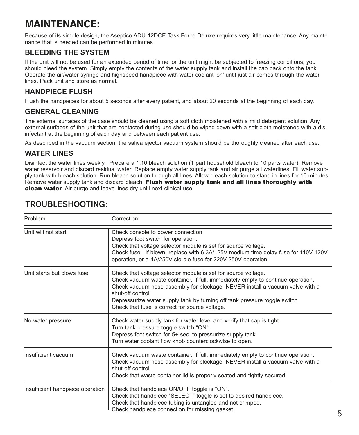# MAINTENANCE:

Because of its simple design, the Aseptico ADU-12DCE Task Force Deluxe requires very little maintenance. Any maintenance that is needed can be performed in minutes.

### **BLEEDING THE SYSTEM**

If the unit will not be used for an extended period of time, or the unit might be subjected to freezing conditions, you should bleed the system. Simply empty the contents of the water supply tank and install the cap back onto the tank. Operate the air/water syringe and highspeed handpiece with water coolant 'on' until just air comes through the water lines. Pack unit and store as normal.

### **HANDPIECE FLUSH**

Flush the handpieces for about 5 seconds after every patient, and about 20 seconds at the beginning of each day.

### **GENERAL CLEANING**

The external surfaces of the case should be cleaned using a soft cloth moistened with a mild detergent solution. Any external surfaces of the unit that are contacted during use should be wiped down with a soft cloth moistened with a disinfectant at the beginning of each day and between each patient use.

As described in the vacuum section, the saliva ejector vacuum system should be thoroughly cleaned after each use.

### **WATER LINES**

Disinfect the water lines weekly. Prepare a 1:10 bleach solution (1 part household bleach to 10 parts water). Remove water reservoir and discard residual water. Replace empty water supply tank and air purge all waterlines. Fill water supply tank with bleach solution. Run bleach solution through all lines. Allow bleach solution to stand in lines for 10 minutes. Remove water supply tank and discard bleach. Flush water supply tank and all lines thoroughly with clean water. Air purge and leave lines dry until next clinical use.

| Problem:                         | Correction:                                                                                                                                                                                                                                                                                                                                                                           |
|----------------------------------|---------------------------------------------------------------------------------------------------------------------------------------------------------------------------------------------------------------------------------------------------------------------------------------------------------------------------------------------------------------------------------------|
| Unit will not start              | Check console to power connection.<br>Depress foot switch for operation.<br>Check that voltage selector module is set for source voltage.<br>Check fuse. If blown, replace with 6.3A/125V medium time delay fuse for 110V-120V<br>operation, or a 4A/250V slo-blo fuse for 220V-250V operation.                                                                                       |
| Unit starts but blows fuse       | Check that voltage selector module is set for source voltage.<br>Check vacuum waste container. If full, immediately empty to continue operation.<br>Check vacuum hose assembly for blockage. NEVER install a vacuum valve with a<br>shut-off control.<br>Depressurize water supply tank by turning off tank pressure toggle switch.<br>Check that fuse is correct for source voltage. |
| No water pressure                | Check water supply tank for water level and verify that cap is tight.<br>Turn tank pressure toggle switch "ON".<br>Depress foot switch for 5+ sec. to pressurize supply tank.<br>Turn water coolant flow knob counterclockwise to open.                                                                                                                                               |
| Insufficient vacuum              | Check vacuum waste container. If full, immediately empty to continue operation.<br>Check vacuum hose assembly for blockage. NEVER install a vacuum valve with a<br>shut-off control.<br>Check that waste container lid is properly seated and tightly secured.                                                                                                                        |
| Insufficient handpiece operation | Check that handpiece ON/OFF toggle is "ON".<br>Check that handpiece "SELECT" toggle is set to desired handpiece.<br>Check that handpiece tubing is untangled and not crimped.<br>Check handpiece connection for missing gasket.                                                                                                                                                       |

# **TROUBLESHOOTING:**